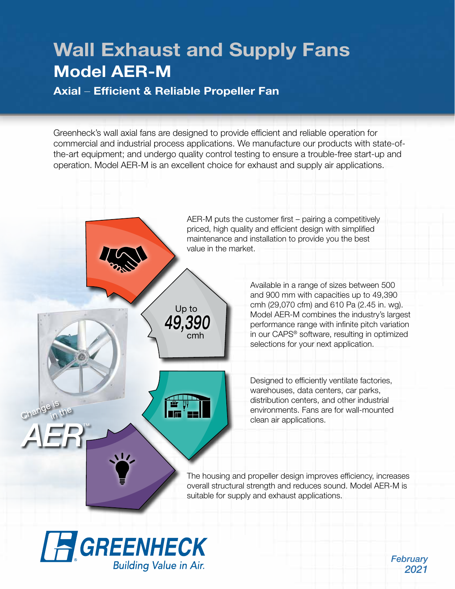# Wall Exhaust and Supply Fans Model AER-M

Axial – Efficient & Reliable Propeller Fan

Greenheck's wall axial fans are designed to provide efficient and reliable operation for commercial and industrial process applications. We manufacture our products with state-ofthe-art equipment; and undergo quality control testing to ensure a trouble-free start-up and operation. Model AER-M is an excellent choice for exhaust and supply air applications.



*February 2021*